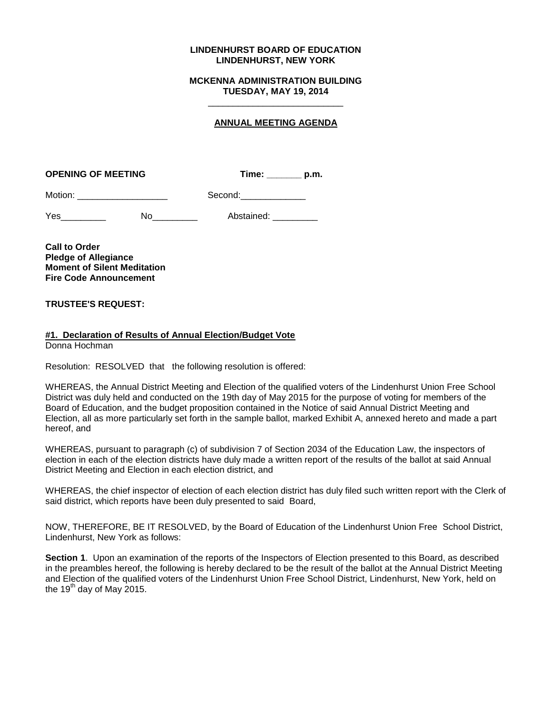## **LINDENHURST BOARD OF EDUCATION LINDENHURST, NEW YORK**

## **MCKENNA ADMINISTRATION BUILDING TUESDAY, MAY 19, 2014** \_\_\_\_\_\_\_\_\_\_\_\_\_\_\_\_\_\_\_\_\_\_\_\_\_\_\_

## **ANNUAL MEETING AGENDA**

| <b>OPENING OF MEETING</b> | Time: | p.m. |
|---------------------------|-------|------|
|                           |       |      |

| Motion: | Second: |
|---------|---------|
|         |         |

| Yes | ٨I٢ | Abstained: |
|-----|-----|------------|
|     |     |            |

**Call to Order Pledge of Allegiance Moment of Silent Meditation Fire Code Announcement**

**TRUSTEE'S REQUEST:**

## **#1. Declaration of Results of Annual Election/Budget Vote**

Donna Hochman

Resolution: RESOLVED that the following resolution is offered:

WHEREAS, the Annual District Meeting and Election of the qualified voters of the Lindenhurst Union Free School District was duly held and conducted on the 19th day of May 2015 for the purpose of voting for members of the Board of Education, and the budget proposition contained in the Notice of said Annual District Meeting and Election, all as more particularly set forth in the sample ballot, marked Exhibit A, annexed hereto and made a part hereof, and

WHEREAS, pursuant to paragraph (c) of subdivision 7 of Section 2034 of the Education Law, the inspectors of election in each of the election districts have duly made a written report of the results of the ballot at said Annual District Meeting and Election in each election district, and

WHEREAS, the chief inspector of election of each election district has duly filed such written report with the Clerk of said district, which reports have been duly presented to said Board,

NOW, THEREFORE, BE IT RESOLVED, by the Board of Education of the Lindenhurst Union Free School District, Lindenhurst, New York as follows:

**Section 1**. Upon an examination of the reports of the Inspectors of Election presented to this Board, as described in the preambles hereof, the following is hereby declared to be the result of the ballot at the Annual District Meeting and Election of the qualified voters of the Lindenhurst Union Free School District, Lindenhurst, New York, held on the 19<sup>th</sup> day of May 2015.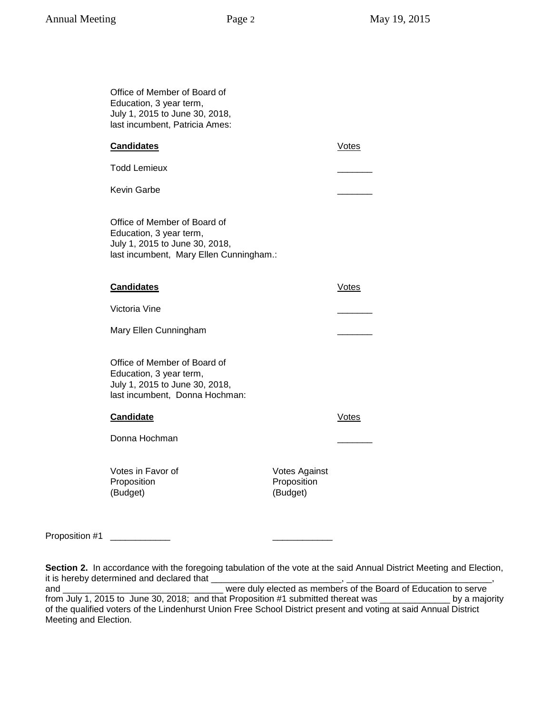| Office of Member of Board of<br>Education, 3 year term,<br>July 1, 2015 to June 30, 2018,<br>last incumbent, Patricia Ames:          |                                                 |              |
|--------------------------------------------------------------------------------------------------------------------------------------|-------------------------------------------------|--------------|
| <b>Candidates</b>                                                                                                                    |                                                 | <b>Votes</b> |
| <b>Todd Lemieux</b>                                                                                                                  |                                                 |              |
| Kevin Garbe                                                                                                                          |                                                 |              |
| Office of Member of Board of<br>Education, 3 year term,<br>July 1, 2015 to June 30, 2018,<br>last incumbent, Mary Ellen Cunningham.: |                                                 |              |
| <b>Candidates</b>                                                                                                                    |                                                 | Votes        |
| Victoria Vine                                                                                                                        |                                                 |              |
| Mary Ellen Cunningham                                                                                                                |                                                 |              |
| Office of Member of Board of<br>Education, 3 year term,<br>July 1, 2015 to June 30, 2018,<br>last incumbent, Donna Hochman:          |                                                 |              |
| <b>Candidate</b>                                                                                                                     |                                                 | Votes        |
| Donna Hochman                                                                                                                        |                                                 |              |
| Votes in Favor of<br>Proposition<br>(Budget)                                                                                         | <b>Votes Against</b><br>Proposition<br>(Budget) |              |

Proposition #1 \_\_\_\_\_\_\_\_\_\_\_\_\_\_

**Section 2.** In accordance with the foregoing tabulation of the vote at the said Annual District Meeting and Election, it is hereby determined and declared that  $\_\_$ 

and \_\_\_\_\_\_\_\_\_\_\_\_\_\_\_\_\_\_\_\_\_\_\_\_\_\_\_\_\_\_\_\_ were duly elected as members of the Board of Education to serve from July 1, 2015 to June 30, 2018; and that Proposition #1 submitted thereat was \_\_\_\_\_\_\_\_\_\_\_\_\_\_ by a majority of the qualified voters of the Lindenhurst Union Free School District present and voting at said Annual District Meeting and Election.